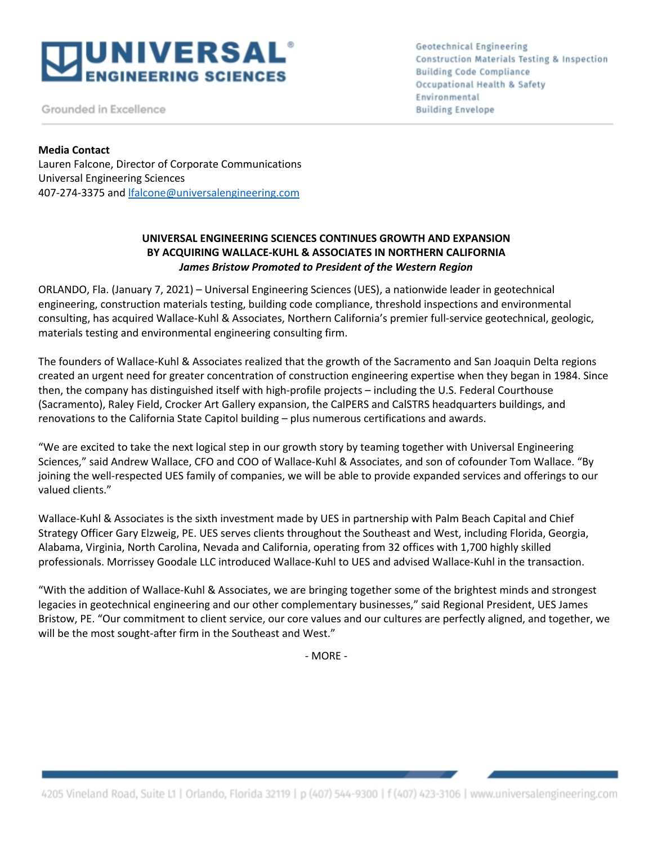

Grounded in Excellence

**Geotechnical Engineering** Construction Materials Testing & Inspection **Building Code Compliance** Occupational Health & Safety Environmental **Building Envelope** 

## **Media Contact**

Lauren Falcone, Director of Corporate Communications Universal Engineering Sciences 407-274-3375 and lfalcone@universalengineering.com

# **UNIVERSAL ENGINEERING SCIENCES CONTINUES GROWTH AND EXPANSION BY ACQUIRING WALLACE-KUHL & ASSOCIATES IN NORTHERN CALIFORNIA** *James Bristow Promoted to President of the Western Region*

ORLANDO, Fla. (January 7, 2021) – Universal Engineering Sciences (UES), a nationwide leader in geotechnical engineering, construction materials testing, building code compliance, threshold inspections and environmental consulting, has acquired Wallace-Kuhl & Associates, Northern California's premier full-service geotechnical, geologic, materials testing and environmental engineering consulting firm.

The founders of Wallace-Kuhl & Associates realized that the growth of the Sacramento and San Joaquin Delta regions created an urgent need for greater concentration of construction engineering expertise when they began in 1984. Since then, the company has distinguished itself with high-profile projects – including the U.S. Federal Courthouse (Sacramento), Raley Field, Crocker Art Gallery expansion, the CalPERS and CalSTRS headquarters buildings, and renovations to the California State Capitol building – plus numerous certifications and awards.

"We are excited to take the next logical step in our growth story by teaming together with Universal Engineering Sciences," said Andrew Wallace, CFO and COO of Wallace-Kuhl & Associates, and son of cofounder Tom Wallace. "By joining the well-respected UES family of companies, we will be able to provide expanded services and offerings to our valued clients."

Wallace-Kuhl & Associates is the sixth investment made by UES in partnership with Palm Beach Capital and Chief Strategy Officer Gary Elzweig, PE. UES serves clients throughout the Southeast and West, including Florida, Georgia, Alabama, Virginia, North Carolina, Nevada and California, operating from 32 offices with 1,700 highly skilled professionals. Morrissey Goodale LLC introduced Wallace-Kuhl to UES and advised Wallace-Kuhl in the transaction.

"With the addition of Wallace-Kuhl & Associates, we are bringing together some of the brightest minds and strongest legacies in geotechnical engineering and our other complementary businesses," said Regional President, UES James Bristow, PE. "Our commitment to client service, our core values and our cultures are perfectly aligned, and together, we will be the most sought-after firm in the Southeast and West."

- MORE -